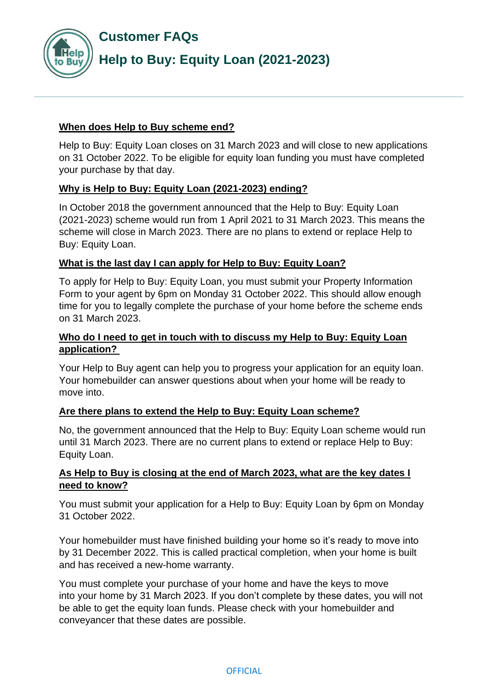

## **When does Help to Buy scheme end?**

Help to Buy: Equity Loan closes on 31 March 2023 and will close to new applications on 31 October 2022. To be eligible for equity loan funding you must have completed your purchase by that day.

# **Why is Help to Buy: Equity Loan (2021-2023) ending?**

In October 2018 the government announced that the Help to Buy: Equity Loan (2021-2023) scheme would run from 1 April 2021 to 31 March 2023. This means the scheme will close in March 2023. There are no plans to extend or replace Help to Buy: Equity Loan.

## **What is the last day I can apply for Help to Buy: Equity Loan?**

To apply for Help to Buy: Equity Loan, you must submit your Property Information Form to your agent by 6pm on Monday 31 October 2022. This should allow enough time for you to legally complete the purchase of your home before the scheme ends on 31 March 2023.

## **Who do I need to get in touch with to discuss my Help to Buy: Equity Loan application?**

Your Help to Buy agent can help you to progress your application for an equity loan. Your homebuilder can answer questions about when your home will be ready to move into.

## **Are there plans to extend the Help to Buy: Equity Loan scheme?**

No, the government announced that the Help to Buy: Equity Loan scheme would run until 31 March 2023. There are no current plans to extend or replace Help to Buy: Equity Loan.

## **As Help to Buy is closing at the end of March 2023, what are the key dates I need to know?**

You must submit your application for a Help to Buy: Equity Loan by 6pm on Monday 31 October 2022.

Your homebuilder must have finished building your home so it's ready to move into by 31 December 2022. This is called practical completion, when your home is built and has received a new-home warranty.

You must complete your purchase of your home and have the keys to move into your home by 31 March 2023. If you don't complete by these dates, you will not be able to get the equity loan funds. Please check with your homebuilder and conveyancer that these dates are possible.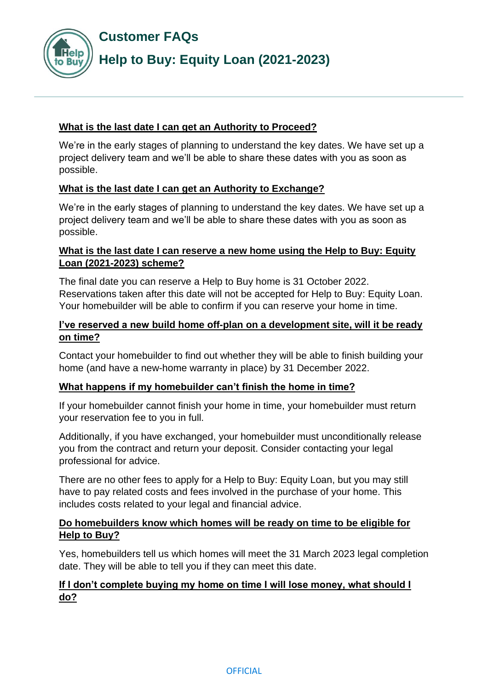**Customer FAQs**



### **What is the last date I can get an Authority to Proceed?**

We're in the early stages of planning to understand the key dates. We have set up a project delivery team and we'll be able to share these dates with you as soon as possible.

## **What is the last date I can get an Authority to Exchange?**

We're in the early stages of planning to understand the key dates. We have set up a project delivery team and we'll be able to share these dates with you as soon as possible.

### **What is the last date I can reserve a new home using the Help to Buy: Equity Loan (2021-2023) scheme?**

The final date you can reserve a Help to Buy home is 31 October 2022. Reservations taken after this date will not be accepted for Help to Buy: Equity Loan. Your homebuilder will be able to confirm if you can reserve your home in time.

## **I've reserved a new build home off-plan on a development site, will it be ready on time?**

Contact your homebuilder to find out whether they will be able to finish building your home (and have a new-home warranty in place) by 31 December 2022.

#### **What happens if my homebuilder can't finish the home in time?**

If your homebuilder cannot finish your home in time, your homebuilder must return your reservation fee to you in full.

Additionally, if you have exchanged, your homebuilder must unconditionally release you from the contract and return your deposit. Consider contacting your legal professional for advice.

There are no other fees to apply for a Help to Buy: Equity Loan, but you may still have to pay related costs and fees involved in the purchase of your home. This includes costs related to your legal and financial advice.

#### **Do homebuilders know which homes will be ready on time to be eligible for Help to Buy?**

Yes, homebuilders tell us which homes will meet the 31 March 2023 legal completion date. They will be able to tell you if they can meet this date.

#### **If I don't complete buying my home on time I will lose money, what should I do?**